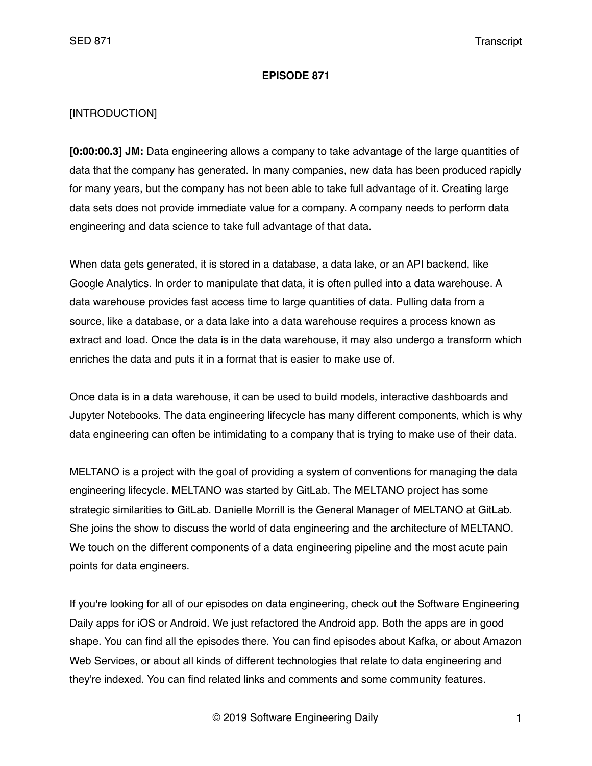### **EPISODE 871**

## [INTRODUCTION]

**[0:00:00.3] JM:** Data engineering allows a company to take advantage of the large quantities of data that the company has generated. In many companies, new data has been produced rapidly for many years, but the company has not been able to take full advantage of it. Creating large data sets does not provide immediate value for a company. A company needs to perform data engineering and data science to take full advantage of that data.

When data gets generated, it is stored in a database, a data lake, or an API backend, like Google Analytics. In order to manipulate that data, it is often pulled into a data warehouse. A data warehouse provides fast access time to large quantities of data. Pulling data from a source, like a database, or a data lake into a data warehouse requires a process known as extract and load. Once the data is in the data warehouse, it may also undergo a transform which enriches the data and puts it in a format that is easier to make use of.

Once data is in a data warehouse, it can be used to build models, interactive dashboards and Jupyter Notebooks. The data engineering lifecycle has many different components, which is why data engineering can often be intimidating to a company that is trying to make use of their data.

MELTANO is a project with the goal of providing a system of conventions for managing the data engineering lifecycle. MELTANO was started by GitLab. The MELTANO project has some strategic similarities to GitLab. Danielle Morrill is the General Manager of MELTANO at GitLab. She joins the show to discuss the world of data engineering and the architecture of MELTANO. We touch on the different components of a data engineering pipeline and the most acute pain points for data engineers.

If you're looking for all of our episodes on data engineering, check out the Software Engineering Daily apps for iOS or Android. We just refactored the Android app. Both the apps are in good shape. You can find all the episodes there. You can find episodes about Kafka, or about Amazon Web Services, or about all kinds of different technologies that relate to data engineering and they're indexed. You can find related links and comments and some community features.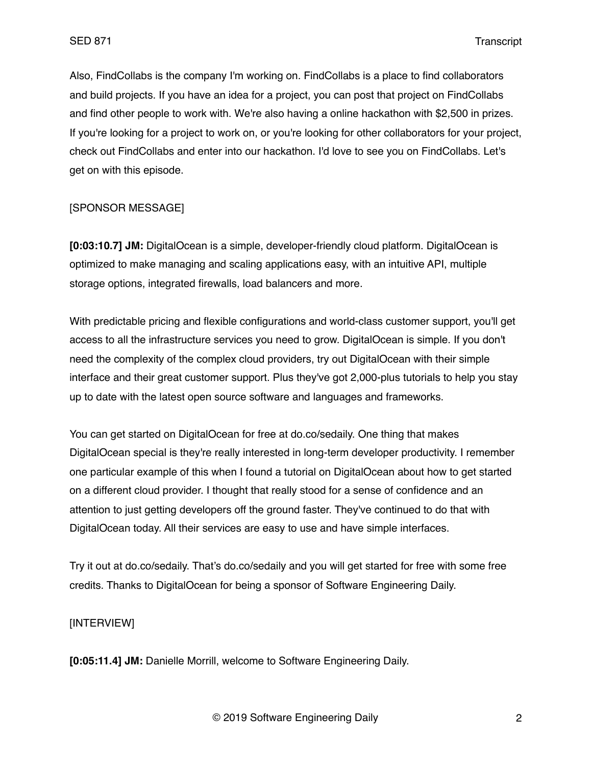Also, FindCollabs is the company I'm working on. FindCollabs is a place to find collaborators and build projects. If you have an idea for a project, you can post that project on FindCollabs and find other people to work with. We're also having a online hackathon with \$2,500 in prizes. If you're looking for a project to work on, or you're looking for other collaborators for your project, check out FindCollabs and enter into our hackathon. I'd love to see you on FindCollabs. Let's get on with this episode.

### [SPONSOR MESSAGE]

**[0:03:10.7] JM:** DigitalOcean is a simple, developer-friendly cloud platform. DigitalOcean is optimized to make managing and scaling applications easy, with an intuitive API, multiple storage options, integrated firewalls, load balancers and more.

With predictable pricing and flexible configurations and world-class customer support, you'll get access to all the infrastructure services you need to grow. DigitalOcean is simple. If you don't need the complexity of the complex cloud providers, try out DigitalOcean with their simple interface and their great customer support. Plus they've got 2,000-plus tutorials to help you stay up to date with the latest open source software and languages and frameworks.

You can get started on DigitalOcean for free at do.co/sedaily. One thing that makes DigitalOcean special is they're really interested in long-term developer productivity. I remember one particular example of this when I found a tutorial on DigitalOcean about how to get started on a different cloud provider. I thought that really stood for a sense of confidence and an attention to just getting developers off the ground faster. They've continued to do that with DigitalOcean today. All their services are easy to use and have simple interfaces.

Try it out at do.co/sedaily. That's do.co/sedaily and you will get started for free with some free credits. Thanks to DigitalOcean for being a sponsor of Software Engineering Daily.

# [INTERVIEW]

**[0:05:11.4] JM:** Danielle Morrill, welcome to Software Engineering Daily.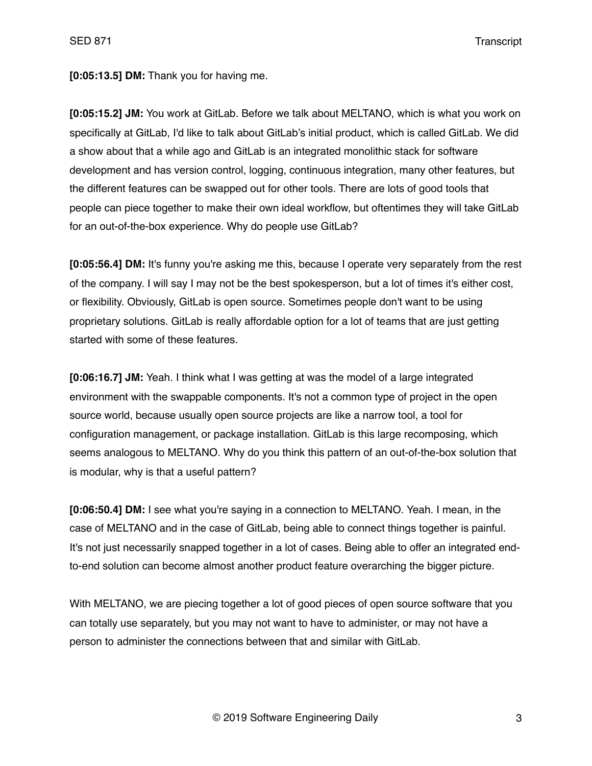**[0:05:13.5] DM:** Thank you for having me.

**[0:05:15.2] JM:** You work at GitLab. Before we talk about MELTANO, which is what you work on specifically at GitLab, I'd like to talk about GitLab's initial product, which is called GitLab. We did a show about that a while ago and GitLab is an integrated monolithic stack for software development and has version control, logging, continuous integration, many other features, but the different features can be swapped out for other tools. There are lots of good tools that people can piece together to make their own ideal workflow, but oftentimes they will take GitLab for an out-of-the-box experience. Why do people use GitLab?

**[0:05:56.4] DM:** It's funny you're asking me this, because I operate very separately from the rest of the company. I will say I may not be the best spokesperson, but a lot of times it's either cost, or flexibility. Obviously, GitLab is open source. Sometimes people don't want to be using proprietary solutions. GitLab is really affordable option for a lot of teams that are just getting started with some of these features.

**[0:06:16.7] JM:** Yeah. I think what I was getting at was the model of a large integrated environment with the swappable components. It's not a common type of project in the open source world, because usually open source projects are like a narrow tool, a tool for configuration management, or package installation. GitLab is this large recomposing, which seems analogous to MELTANO. Why do you think this pattern of an out-of-the-box solution that is modular, why is that a useful pattern?

**[0:06:50.4] DM:** I see what you're saying in a connection to MELTANO. Yeah. I mean, in the case of MELTANO and in the case of GitLab, being able to connect things together is painful. It's not just necessarily snapped together in a lot of cases. Being able to offer an integrated endto-end solution can become almost another product feature overarching the bigger picture.

With MELTANO, we are piecing together a lot of good pieces of open source software that you can totally use separately, but you may not want to have to administer, or may not have a person to administer the connections between that and similar with GitLab.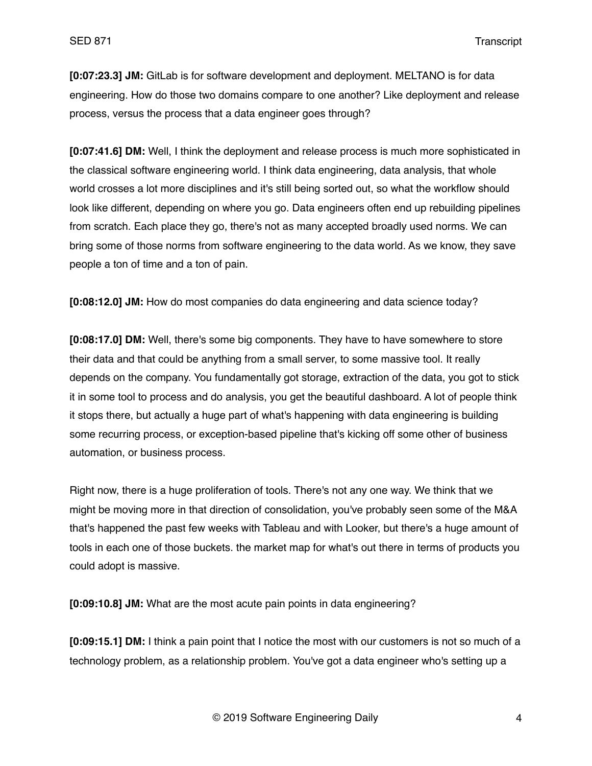**[0:07:23.3] JM:** GitLab is for software development and deployment. MELTANO is for data engineering. How do those two domains compare to one another? Like deployment and release process, versus the process that a data engineer goes through?

**[0:07:41.6] DM:** Well, I think the deployment and release process is much more sophisticated in the classical software engineering world. I think data engineering, data analysis, that whole world crosses a lot more disciplines and it's still being sorted out, so what the workflow should look like different, depending on where you go. Data engineers often end up rebuilding pipelines from scratch. Each place they go, there's not as many accepted broadly used norms. We can bring some of those norms from software engineering to the data world. As we know, they save people a ton of time and a ton of pain.

**[0:08:12.0] JM:** How do most companies do data engineering and data science today?

**[0:08:17.0] DM:** Well, there's some big components. They have to have somewhere to store their data and that could be anything from a small server, to some massive tool. It really depends on the company. You fundamentally got storage, extraction of the data, you got to stick it in some tool to process and do analysis, you get the beautiful dashboard. A lot of people think it stops there, but actually a huge part of what's happening with data engineering is building some recurring process, or exception-based pipeline that's kicking off some other of business automation, or business process.

Right now, there is a huge proliferation of tools. There's not any one way. We think that we might be moving more in that direction of consolidation, you've probably seen some of the M&A that's happened the past few weeks with Tableau and with Looker, but there's a huge amount of tools in each one of those buckets. the market map for what's out there in terms of products you could adopt is massive.

**[0:09:10.8] JM:** What are the most acute pain points in data engineering?

**[0:09:15.1] DM:** I think a pain point that I notice the most with our customers is not so much of a technology problem, as a relationship problem. You've got a data engineer who's setting up a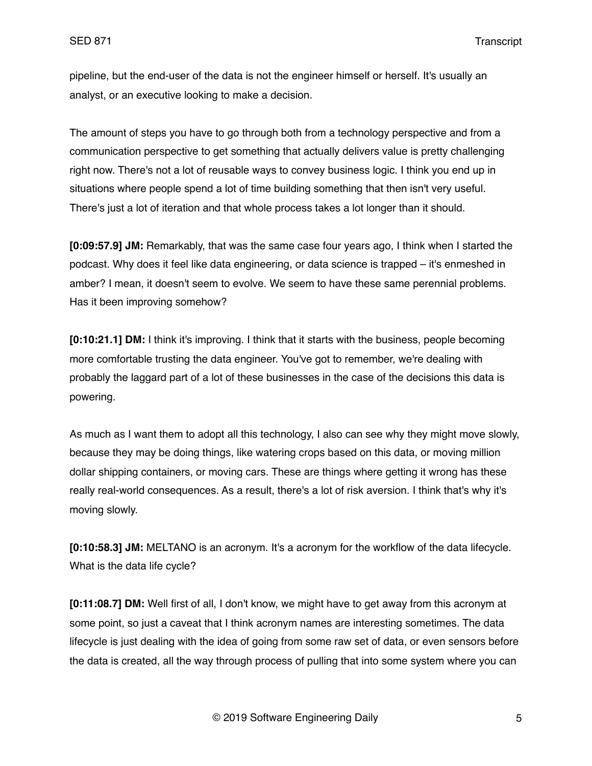pipeline, but the end-user of the data is not the engineer himself or herself. It's usually an analyst, or an executive looking to make a decision.

The amount of steps you have to go through both from a technology perspective and from a communication perspective to get something that actually delivers value is pretty challenging right now. There's not a lot of reusable ways to convey business logic. I think you end up in situations where people spend a lot of time building something that then isn't very useful. There's just a lot of iteration and that whole process takes a lot longer than it should.

**[0:09:57.9] JM:** Remarkably, that was the same case four years ago, I think when I started the podcast. Why does it feel like data engineering, or data science is trapped – it's enmeshed in amber? I mean, it doesn't seem to evolve. We seem to have these same perennial problems. Has it been improving somehow?

**[0:10:21.1] DM:** I think it's improving. I think that it starts with the business, people becoming more comfortable trusting the data engineer. You've got to remember, we're dealing with probably the laggard part of a lot of these businesses in the case of the decisions this data is powering.

As much as I want them to adopt all this technology, I also can see why they might move slowly, because they may be doing things, like watering crops based on this data, or moving million dollar shipping containers, or moving cars. These are things where getting it wrong has these really real-world consequences. As a result, there's a lot of risk aversion. I think that's why it's moving slowly.

**[0:10:58.3] JM:** MELTANO is an acronym. It's a acronym for the workflow of the data lifecycle. What is the data life cycle?

**[0:11:08.7] DM:** Well first of all, I don't know, we might have to get away from this acronym at some point, so just a caveat that I think acronym names are interesting sometimes. The data lifecycle is just dealing with the idea of going from some raw set of data, or even sensors before the data is created, all the way through process of pulling that into some system where you can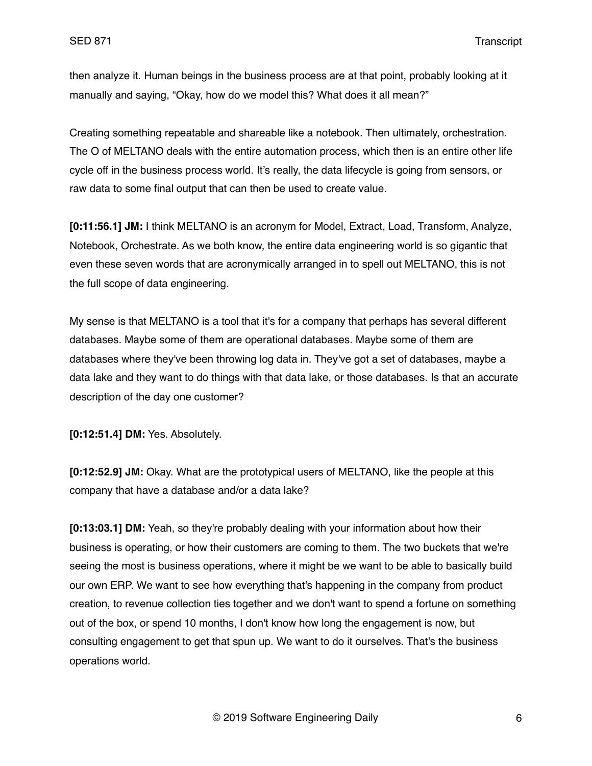then analyze it. Human beings in the business process are at that point, probably looking at it manually and saying, "Okay, how do we model this? What does it all mean?"

Creating something repeatable and shareable like a notebook. Then ultimately, orchestration. The O of MELTANO deals with the entire automation process, which then is an entire other life cycle off in the business process world. It's really, the data lifecycle is going from sensors, or raw data to some final output that can then be used to create value.

**[0:11:56.1] JM:** I think MELTANO is an acronym for Model, Extract, Load, Transform, Analyze, Notebook, Orchestrate. As we both know, the entire data engineering world is so gigantic that even these seven words that are acronymically arranged in to spell out MELTANO, this is not the full scope of data engineering.

My sense is that MELTANO is a tool that it's for a company that perhaps has several different databases. Maybe some of them are operational databases. Maybe some of them are databases where they've been throwing log data in. They've got a set of databases, maybe a data lake and they want to do things with that data lake, or those databases. Is that an accurate description of the day one customer?

**[0:12:51.4] DM:** Yes. Absolutely.

**[0:12:52.9] JM:** Okay. What are the prototypical users of MELTANO, like the people at this company that have a database and/or a data lake?

**[0:13:03.1] DM:** Yeah, so they're probably dealing with your information about how their business is operating, or how their customers are coming to them. The two buckets that we're seeing the most is business operations, where it might be we want to be able to basically build our own ERP. We want to see how everything that's happening in the company from product creation, to revenue collection ties together and we don't want to spend a fortune on something out of the box, or spend 10 months, I don't know how long the engagement is now, but consulting engagement to get that spun up. We want to do it ourselves. That's the business operations world.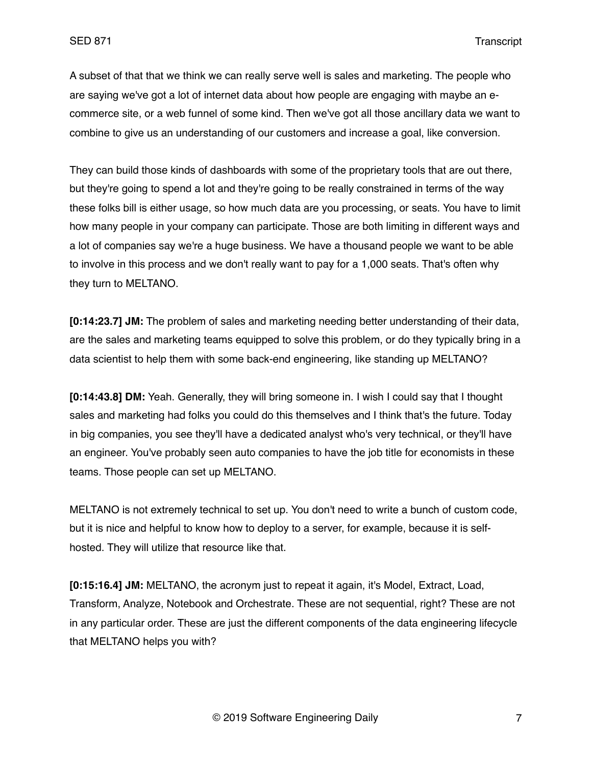A subset of that that we think we can really serve well is sales and marketing. The people who are saying we've got a lot of internet data about how people are engaging with maybe an ecommerce site, or a web funnel of some kind. Then we've got all those ancillary data we want to combine to give us an understanding of our customers and increase a goal, like conversion.

They can build those kinds of dashboards with some of the proprietary tools that are out there, but they're going to spend a lot and they're going to be really constrained in terms of the way these folks bill is either usage, so how much data are you processing, or seats. You have to limit how many people in your company can participate. Those are both limiting in different ways and a lot of companies say we're a huge business. We have a thousand people we want to be able to involve in this process and we don't really want to pay for a 1,000 seats. That's often why they turn to MELTANO.

**[0:14:23.7] JM:** The problem of sales and marketing needing better understanding of their data, are the sales and marketing teams equipped to solve this problem, or do they typically bring in a data scientist to help them with some back-end engineering, like standing up MELTANO?

**[0:14:43.8] DM:** Yeah. Generally, they will bring someone in. I wish I could say that I thought sales and marketing had folks you could do this themselves and I think that's the future. Today in big companies, you see they'll have a dedicated analyst who's very technical, or they'll have an engineer. You've probably seen auto companies to have the job title for economists in these teams. Those people can set up MELTANO.

MELTANO is not extremely technical to set up. You don't need to write a bunch of custom code, but it is nice and helpful to know how to deploy to a server, for example, because it is selfhosted. They will utilize that resource like that.

**[0:15:16.4] JM:** MELTANO, the acronym just to repeat it again, it's Model, Extract, Load, Transform, Analyze, Notebook and Orchestrate. These are not sequential, right? These are not in any particular order. These are just the different components of the data engineering lifecycle that MELTANO helps you with?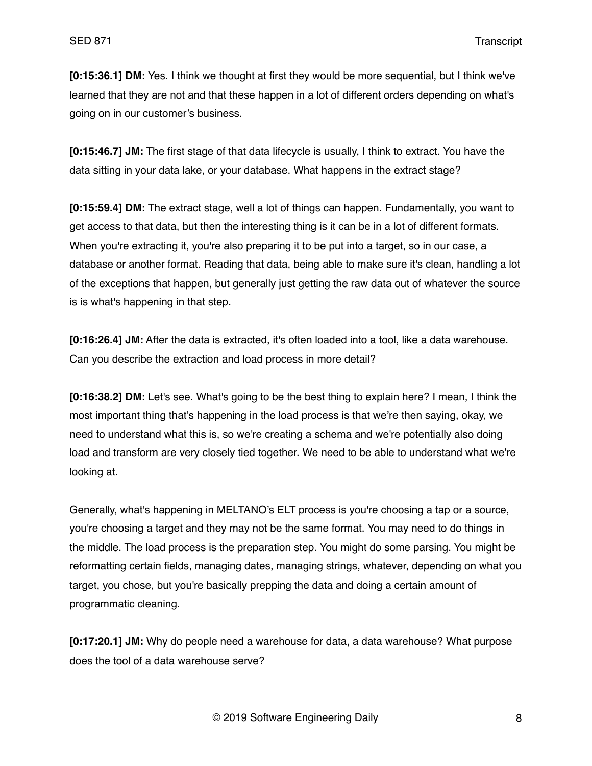**[0:15:36.1] DM:** Yes. I think we thought at first they would be more sequential, but I think we've learned that they are not and that these happen in a lot of different orders depending on what's going on in our customer's business.

**[0:15:46.7] JM:** The first stage of that data lifecycle is usually, I think to extract. You have the data sitting in your data lake, or your database. What happens in the extract stage?

**[0:15:59.4] DM:** The extract stage, well a lot of things can happen. Fundamentally, you want to get access to that data, but then the interesting thing is it can be in a lot of different formats. When you're extracting it, you're also preparing it to be put into a target, so in our case, a database or another format. Reading that data, being able to make sure it's clean, handling a lot of the exceptions that happen, but generally just getting the raw data out of whatever the source is is what's happening in that step.

**[0:16:26.4] JM:** After the data is extracted, it's often loaded into a tool, like a data warehouse. Can you describe the extraction and load process in more detail?

**[0:16:38.2] DM:** Let's see. What's going to be the best thing to explain here? I mean, I think the most important thing that's happening in the load process is that we're then saying, okay, we need to understand what this is, so we're creating a schema and we're potentially also doing load and transform are very closely tied together. We need to be able to understand what we're looking at.

Generally, what's happening in MELTANO's ELT process is you're choosing a tap or a source, you're choosing a target and they may not be the same format. You may need to do things in the middle. The load process is the preparation step. You might do some parsing. You might be reformatting certain fields, managing dates, managing strings, whatever, depending on what you target, you chose, but you're basically prepping the data and doing a certain amount of programmatic cleaning.

**[0:17:20.1] JM:** Why do people need a warehouse for data, a data warehouse? What purpose does the tool of a data warehouse serve?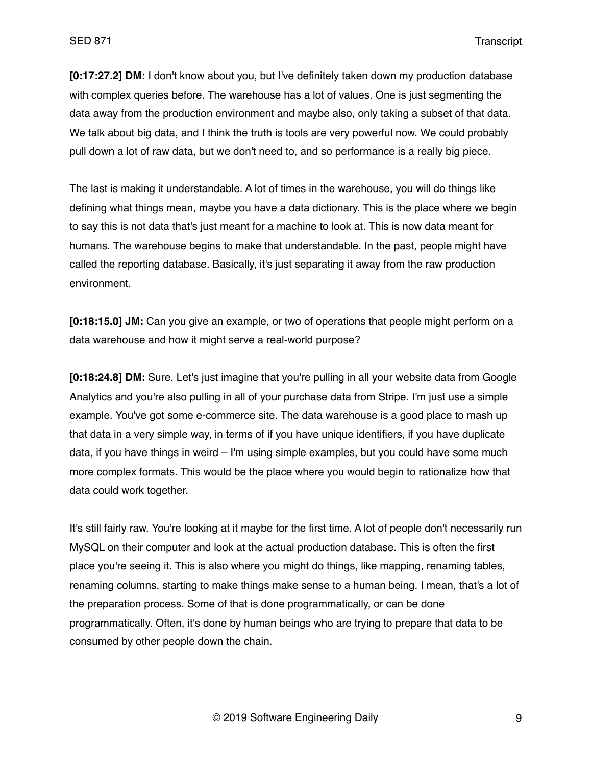**[0:17:27.2] DM:** I don't know about you, but I've definitely taken down my production database with complex queries before. The warehouse has a lot of values. One is just segmenting the data away from the production environment and maybe also, only taking a subset of that data. We talk about big data, and I think the truth is tools are very powerful now. We could probably pull down a lot of raw data, but we don't need to, and so performance is a really big piece.

The last is making it understandable. A lot of times in the warehouse, you will do things like defining what things mean, maybe you have a data dictionary. This is the place where we begin to say this is not data that's just meant for a machine to look at. This is now data meant for humans. The warehouse begins to make that understandable. In the past, people might have called the reporting database. Basically, it's just separating it away from the raw production environment.

**[0:18:15.0] JM:** Can you give an example, or two of operations that people might perform on a data warehouse and how it might serve a real-world purpose?

**[0:18:24.8] DM:** Sure. Let's just imagine that you're pulling in all your website data from Google Analytics and you're also pulling in all of your purchase data from Stripe. I'm just use a simple example. You've got some e-commerce site. The data warehouse is a good place to mash up that data in a very simple way, in terms of if you have unique identifiers, if you have duplicate data, if you have things in weird – I'm using simple examples, but you could have some much more complex formats. This would be the place where you would begin to rationalize how that data could work together.

It's still fairly raw. You're looking at it maybe for the first time. A lot of people don't necessarily run MySQL on their computer and look at the actual production database. This is often the first place you're seeing it. This is also where you might do things, like mapping, renaming tables, renaming columns, starting to make things make sense to a human being. I mean, that's a lot of the preparation process. Some of that is done programmatically, or can be done programmatically. Often, it's done by human beings who are trying to prepare that data to be consumed by other people down the chain.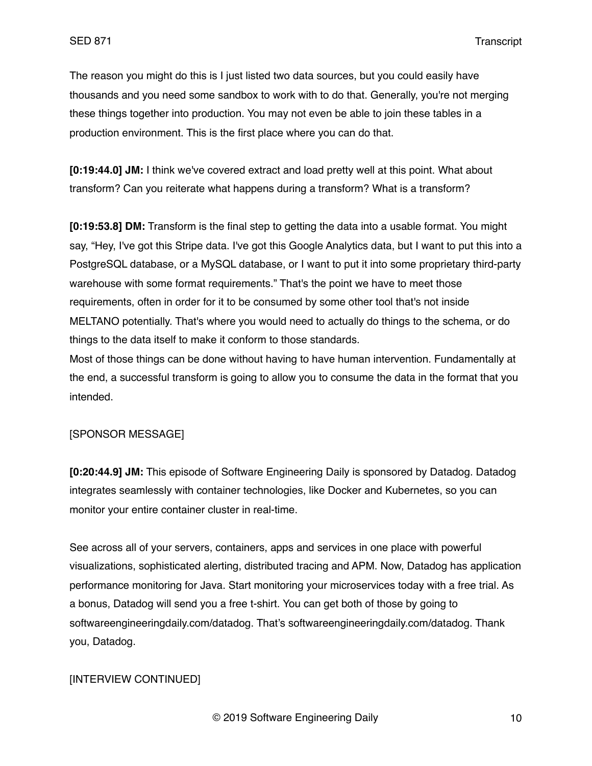The reason you might do this is I just listed two data sources, but you could easily have thousands and you need some sandbox to work with to do that. Generally, you're not merging these things together into production. You may not even be able to join these tables in a production environment. This is the first place where you can do that.

**[0:19:44.0] JM:** I think we've covered extract and load pretty well at this point. What about transform? Can you reiterate what happens during a transform? What is a transform?

**[0:19:53.8] DM:** Transform is the final step to getting the data into a usable format. You might say, "Hey, I've got this Stripe data. I've got this Google Analytics data, but I want to put this into a PostgreSQL database, or a MySQL database, or I want to put it into some proprietary third-party warehouse with some format requirements." That's the point we have to meet those requirements, often in order for it to be consumed by some other tool that's not inside MELTANO potentially. That's where you would need to actually do things to the schema, or do things to the data itself to make it conform to those standards.

Most of those things can be done without having to have human intervention. Fundamentally at the end, a successful transform is going to allow you to consume the data in the format that you intended.

## [SPONSOR MESSAGE]

**[0:20:44.9] JM:** This episode of Software Engineering Daily is sponsored by Datadog. Datadog integrates seamlessly with container technologies, like Docker and Kubernetes, so you can monitor your entire container cluster in real-time.

See across all of your servers, containers, apps and services in one place with powerful visualizations, sophisticated alerting, distributed tracing and APM. Now, Datadog has application performance monitoring for Java. Start monitoring your microservices today with a free trial. As a bonus, Datadog will send you a free t-shirt. You can get both of those by going to softwareengineeringdaily.com/datadog. That's softwareengineeringdaily.com/datadog. Thank you, Datadog.

#### [INTERVIEW CONTINUED]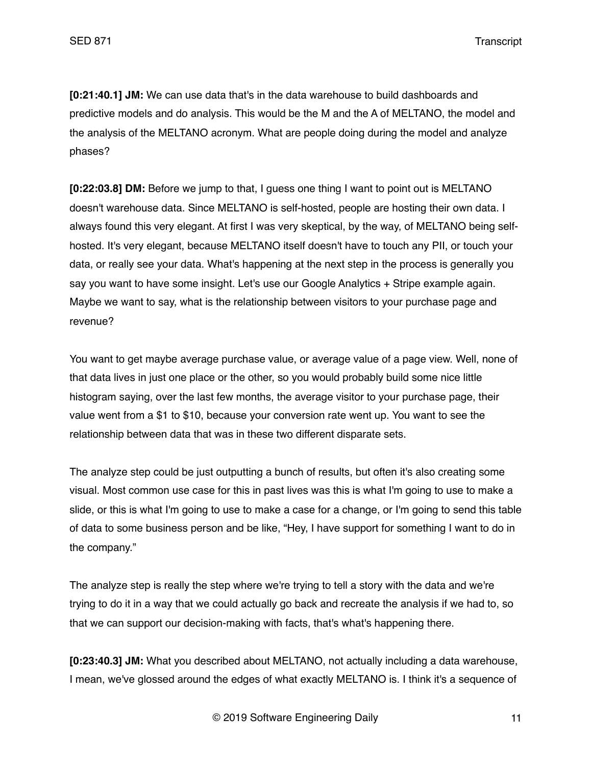**[0:21:40.1] JM:** We can use data that's in the data warehouse to build dashboards and predictive models and do analysis. This would be the M and the A of MELTANO, the model and the analysis of the MELTANO acronym. What are people doing during the model and analyze phases?

**[0:22:03.8] DM:** Before we jump to that, I guess one thing I want to point out is MELTANO doesn't warehouse data. Since MELTANO is self-hosted, people are hosting their own data. I always found this very elegant. At first I was very skeptical, by the way, of MELTANO being selfhosted. It's very elegant, because MELTANO itself doesn't have to touch any PII, or touch your data, or really see your data. What's happening at the next step in the process is generally you say you want to have some insight. Let's use our Google Analytics + Stripe example again. Maybe we want to say, what is the relationship between visitors to your purchase page and revenue?

You want to get maybe average purchase value, or average value of a page view. Well, none of that data lives in just one place or the other, so you would probably build some nice little histogram saying, over the last few months, the average visitor to your purchase page, their value went from a \$1 to \$10, because your conversion rate went up. You want to see the relationship between data that was in these two different disparate sets.

The analyze step could be just outputting a bunch of results, but often it's also creating some visual. Most common use case for this in past lives was this is what I'm going to use to make a slide, or this is what I'm going to use to make a case for a change, or I'm going to send this table of data to some business person and be like, "Hey, I have support for something I want to do in the company."

The analyze step is really the step where we're trying to tell a story with the data and we're trying to do it in a way that we could actually go back and recreate the analysis if we had to, so that we can support our decision-making with facts, that's what's happening there.

**[0:23:40.3] JM:** What you described about MELTANO, not actually including a data warehouse, I mean, we've glossed around the edges of what exactly MELTANO is. I think it's a sequence of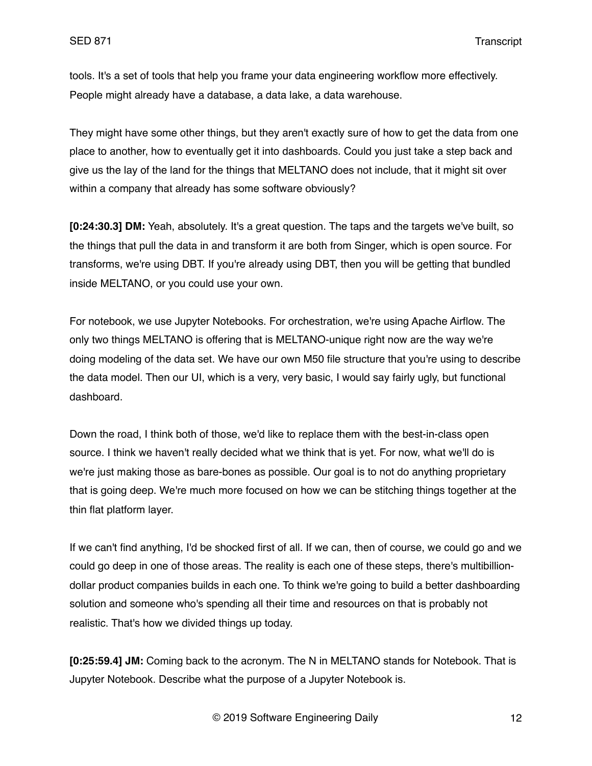tools. It's a set of tools that help you frame your data engineering workflow more effectively. People might already have a database, a data lake, a data warehouse.

They might have some other things, but they aren't exactly sure of how to get the data from one place to another, how to eventually get it into dashboards. Could you just take a step back and give us the lay of the land for the things that MELTANO does not include, that it might sit over within a company that already has some software obviously?

**[0:24:30.3] DM:** Yeah, absolutely. It's a great question. The taps and the targets we've built, so the things that pull the data in and transform it are both from Singer, which is open source. For transforms, we're using DBT. If you're already using DBT, then you will be getting that bundled inside MELTANO, or you could use your own.

For notebook, we use Jupyter Notebooks. For orchestration, we're using Apache Airflow. The only two things MELTANO is offering that is MELTANO-unique right now are the way we're doing modeling of the data set. We have our own M50 file structure that you're using to describe the data model. Then our UI, which is a very, very basic, I would say fairly ugly, but functional dashboard.

Down the road, I think both of those, we'd like to replace them with the best-in-class open source. I think we haven't really decided what we think that is yet. For now, what we'll do is we're just making those as bare-bones as possible. Our goal is to not do anything proprietary that is going deep. We're much more focused on how we can be stitching things together at the thin flat platform layer.

If we can't find anything, I'd be shocked first of all. If we can, then of course, we could go and we could go deep in one of those areas. The reality is each one of these steps, there's multibilliondollar product companies builds in each one. To think we're going to build a better dashboarding solution and someone who's spending all their time and resources on that is probably not realistic. That's how we divided things up today.

**[0:25:59.4] JM:** Coming back to the acronym. The N in MELTANO stands for Notebook. That is Jupyter Notebook. Describe what the purpose of a Jupyter Notebook is.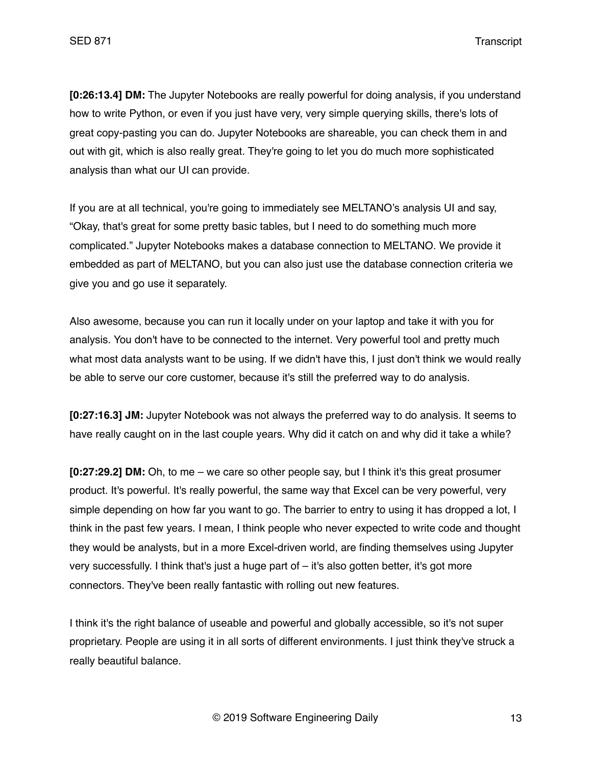**[0:26:13.4] DM:** The Jupyter Notebooks are really powerful for doing analysis, if you understand how to write Python, or even if you just have very, very simple querying skills, there's lots of great copy-pasting you can do. Jupyter Notebooks are shareable, you can check them in and out with git, which is also really great. They're going to let you do much more sophisticated analysis than what our UI can provide.

If you are at all technical, you're going to immediately see MELTANO's analysis UI and say, "Okay, that's great for some pretty basic tables, but I need to do something much more complicated." Jupyter Notebooks makes a database connection to MELTANO. We provide it embedded as part of MELTANO, but you can also just use the database connection criteria we give you and go use it separately.

Also awesome, because you can run it locally under on your laptop and take it with you for analysis. You don't have to be connected to the internet. Very powerful tool and pretty much what most data analysts want to be using. If we didn't have this, I just don't think we would really be able to serve our core customer, because it's still the preferred way to do analysis.

**[0:27:16.3] JM:** Jupyter Notebook was not always the preferred way to do analysis. It seems to have really caught on in the last couple years. Why did it catch on and why did it take a while?

**[0:27:29.2] DM:** Oh, to me – we care so other people say, but I think it's this great prosumer product. It's powerful. It's really powerful, the same way that Excel can be very powerful, very simple depending on how far you want to go. The barrier to entry to using it has dropped a lot, I think in the past few years. I mean, I think people who never expected to write code and thought they would be analysts, but in a more Excel-driven world, are finding themselves using Jupyter very successfully. I think that's just a huge part of – it's also gotten better, it's got more connectors. They've been really fantastic with rolling out new features.

I think it's the right balance of useable and powerful and globally accessible, so it's not super proprietary. People are using it in all sorts of different environments. I just think they've struck a really beautiful balance.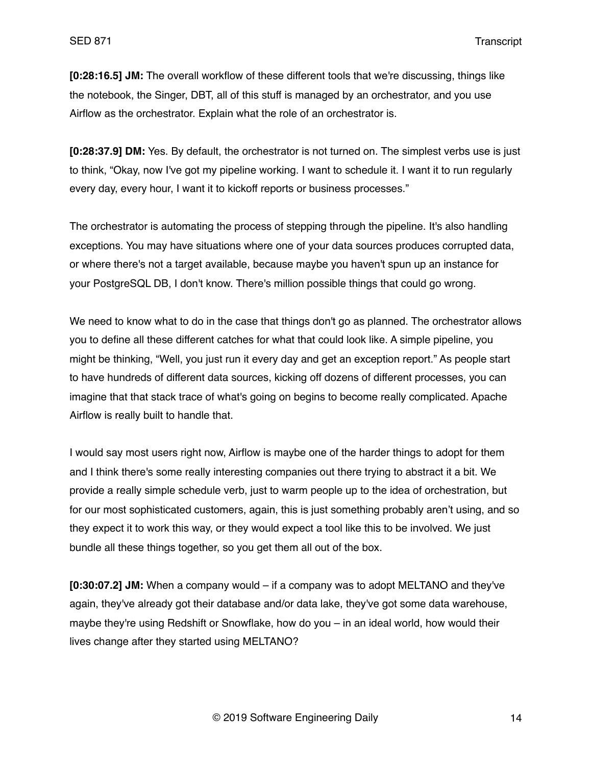**[0:28:16.5] JM:** The overall workflow of these different tools that we're discussing, things like the notebook, the Singer, DBT, all of this stuff is managed by an orchestrator, and you use Airflow as the orchestrator. Explain what the role of an orchestrator is.

**[0:28:37.9] DM:** Yes. By default, the orchestrator is not turned on. The simplest verbs use is just to think, "Okay, now I've got my pipeline working. I want to schedule it. I want it to run regularly every day, every hour, I want it to kickoff reports or business processes."

The orchestrator is automating the process of stepping through the pipeline. It's also handling exceptions. You may have situations where one of your data sources produces corrupted data, or where there's not a target available, because maybe you haven't spun up an instance for your PostgreSQL DB, I don't know. There's million possible things that could go wrong.

We need to know what to do in the case that things don't go as planned. The orchestrator allows you to define all these different catches for what that could look like. A simple pipeline, you might be thinking, "Well, you just run it every day and get an exception report." As people start to have hundreds of different data sources, kicking off dozens of different processes, you can imagine that that stack trace of what's going on begins to become really complicated. Apache Airflow is really built to handle that.

I would say most users right now, Airflow is maybe one of the harder things to adopt for them and I think there's some really interesting companies out there trying to abstract it a bit. We provide a really simple schedule verb, just to warm people up to the idea of orchestration, but for our most sophisticated customers, again, this is just something probably aren't using, and so they expect it to work this way, or they would expect a tool like this to be involved. We just bundle all these things together, so you get them all out of the box.

**[0:30:07.2] JM:** When a company would – if a company was to adopt MELTANO and they've again, they've already got their database and/or data lake, they've got some data warehouse, maybe they're using Redshift or Snowflake, how do you – in an ideal world, how would their lives change after they started using MELTANO?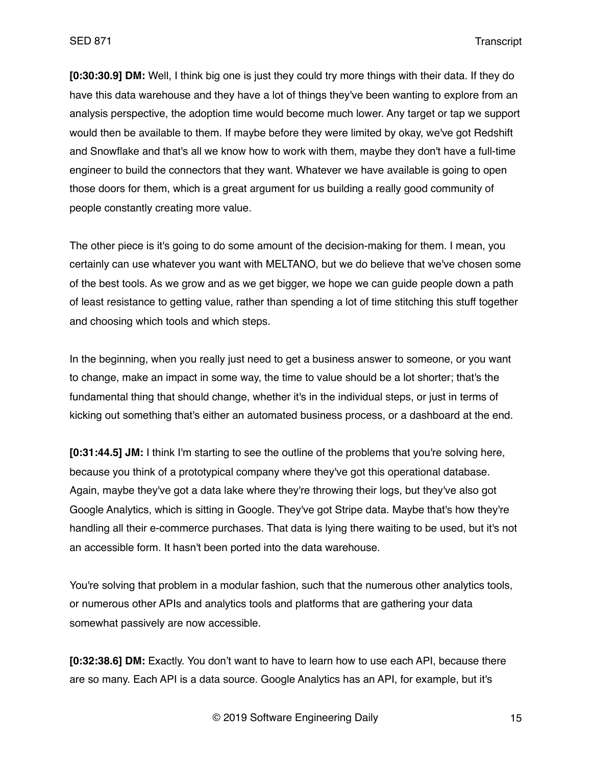**[0:30:30.9] DM:** Well, I think big one is just they could try more things with their data. If they do have this data warehouse and they have a lot of things they've been wanting to explore from an analysis perspective, the adoption time would become much lower. Any target or tap we support would then be available to them. If maybe before they were limited by okay, we've got Redshift and Snowflake and that's all we know how to work with them, maybe they don't have a full-time engineer to build the connectors that they want. Whatever we have available is going to open those doors for them, which is a great argument for us building a really good community of people constantly creating more value.

The other piece is it's going to do some amount of the decision-making for them. I mean, you certainly can use whatever you want with MELTANO, but we do believe that we've chosen some of the best tools. As we grow and as we get bigger, we hope we can guide people down a path of least resistance to getting value, rather than spending a lot of time stitching this stuff together and choosing which tools and which steps.

In the beginning, when you really just need to get a business answer to someone, or you want to change, make an impact in some way, the time to value should be a lot shorter; that's the fundamental thing that should change, whether it's in the individual steps, or just in terms of kicking out something that's either an automated business process, or a dashboard at the end.

**[0:31:44.5] JM:** I think I'm starting to see the outline of the problems that you're solving here, because you think of a prototypical company where they've got this operational database. Again, maybe they've got a data lake where they're throwing their logs, but they've also got Google Analytics, which is sitting in Google. They've got Stripe data. Maybe that's how they're handling all their e-commerce purchases. That data is lying there waiting to be used, but it's not an accessible form. It hasn't been ported into the data warehouse.

You're solving that problem in a modular fashion, such that the numerous other analytics tools, or numerous other APIs and analytics tools and platforms that are gathering your data somewhat passively are now accessible.

**[0:32:38.6] DM:** Exactly. You don't want to have to learn how to use each API, because there are so many. Each API is a data source. Google Analytics has an API, for example, but it's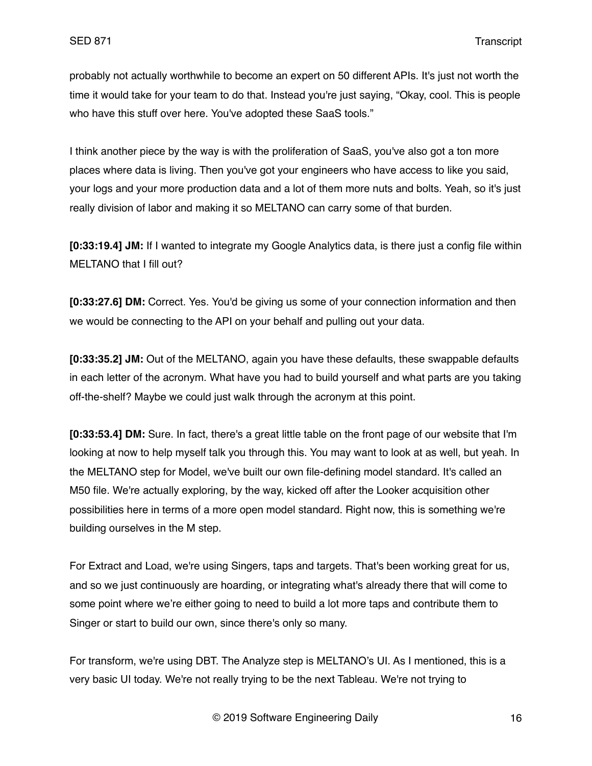probably not actually worthwhile to become an expert on 50 different APIs. It's just not worth the time it would take for your team to do that. Instead you're just saying, "Okay, cool. This is people who have this stuff over here. You've adopted these SaaS tools."

I think another piece by the way is with the proliferation of SaaS, you've also got a ton more places where data is living. Then you've got your engineers who have access to like you said, your logs and your more production data and a lot of them more nuts and bolts. Yeah, so it's just really division of labor and making it so MELTANO can carry some of that burden.

**[0:33:19.4] JM:** If I wanted to integrate my Google Analytics data, is there just a config file within MELTANO that I fill out?

**[0:33:27.6] DM:** Correct. Yes. You'd be giving us some of your connection information and then we would be connecting to the API on your behalf and pulling out your data.

**[0:33:35.2] JM:** Out of the MELTANO, again you have these defaults, these swappable defaults in each letter of the acronym. What have you had to build yourself and what parts are you taking off-the-shelf? Maybe we could just walk through the acronym at this point.

**[0:33:53.4] DM:** Sure. In fact, there's a great little table on the front page of our website that I'm looking at now to help myself talk you through this. You may want to look at as well, but yeah. In the MELTANO step for Model, we've built our own file-defining model standard. It's called an M50 file. We're actually exploring, by the way, kicked off after the Looker acquisition other possibilities here in terms of a more open model standard. Right now, this is something we're building ourselves in the M step.

For Extract and Load, we're using Singers, taps and targets. That's been working great for us, and so we just continuously are hoarding, or integrating what's already there that will come to some point where we're either going to need to build a lot more taps and contribute them to Singer or start to build our own, since there's only so many.

For transform, we're using DBT. The Analyze step is MELTANO's UI. As I mentioned, this is a very basic UI today. We're not really trying to be the next Tableau. We're not trying to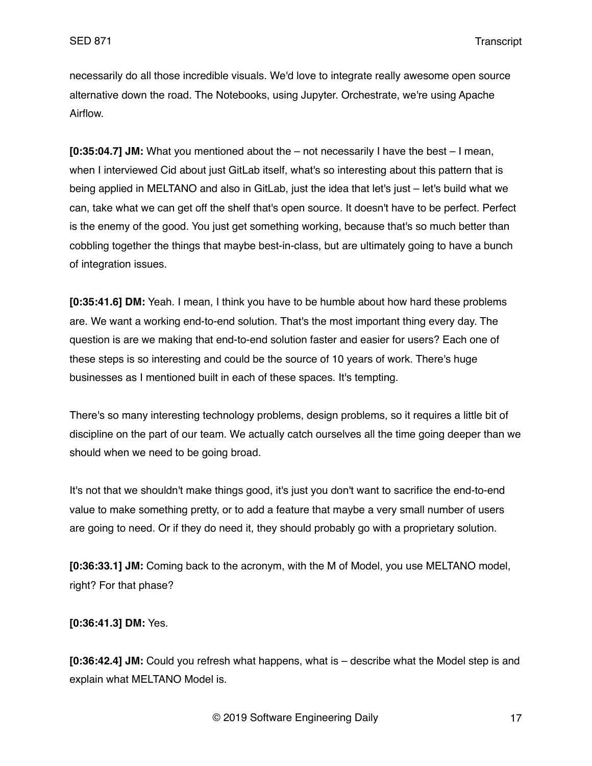necessarily do all those incredible visuals. We'd love to integrate really awesome open source alternative down the road. The Notebooks, using Jupyter. Orchestrate, we're using Apache Airflow.

**[0:35:04.7] JM:** What you mentioned about the – not necessarily I have the best – I mean, when I interviewed Cid about just GitLab itself, what's so interesting about this pattern that is being applied in MELTANO and also in GitLab, just the idea that let's just – let's build what we can, take what we can get off the shelf that's open source. It doesn't have to be perfect. Perfect is the enemy of the good. You just get something working, because that's so much better than cobbling together the things that maybe best-in-class, but are ultimately going to have a bunch of integration issues.

**[0:35:41.6] DM:** Yeah. I mean, I think you have to be humble about how hard these problems are. We want a working end-to-end solution. That's the most important thing every day. The question is are we making that end-to-end solution faster and easier for users? Each one of these steps is so interesting and could be the source of 10 years of work. There's huge businesses as I mentioned built in each of these spaces. It's tempting.

There's so many interesting technology problems, design problems, so it requires a little bit of discipline on the part of our team. We actually catch ourselves all the time going deeper than we should when we need to be going broad.

It's not that we shouldn't make things good, it's just you don't want to sacrifice the end-to-end value to make something pretty, or to add a feature that maybe a very small number of users are going to need. Or if they do need it, they should probably go with a proprietary solution.

**[0:36:33.1] JM:** Coming back to the acronym, with the M of Model, you use MELTANO model, right? For that phase?

**[0:36:41.3] DM:** Yes.

**[0:36:42.4] JM:** Could you refresh what happens, what is – describe what the Model step is and explain what MELTANO Model is.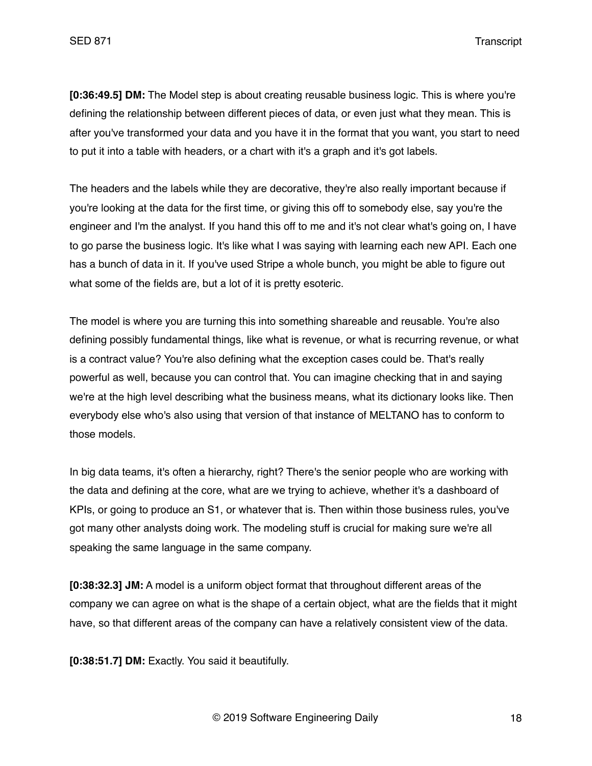**[0:36:49.5] DM:** The Model step is about creating reusable business logic. This is where you're defining the relationship between different pieces of data, or even just what they mean. This is after you've transformed your data and you have it in the format that you want, you start to need to put it into a table with headers, or a chart with it's a graph and it's got labels.

The headers and the labels while they are decorative, they're also really important because if you're looking at the data for the first time, or giving this off to somebody else, say you're the engineer and I'm the analyst. If you hand this off to me and it's not clear what's going on, I have to go parse the business logic. It's like what I was saying with learning each new API. Each one has a bunch of data in it. If you've used Stripe a whole bunch, you might be able to figure out what some of the fields are, but a lot of it is pretty esoteric.

The model is where you are turning this into something shareable and reusable. You're also defining possibly fundamental things, like what is revenue, or what is recurring revenue, or what is a contract value? You're also defining what the exception cases could be. That's really powerful as well, because you can control that. You can imagine checking that in and saying we're at the high level describing what the business means, what its dictionary looks like. Then everybody else who's also using that version of that instance of MELTANO has to conform to those models.

In big data teams, it's often a hierarchy, right? There's the senior people who are working with the data and defining at the core, what are we trying to achieve, whether it's a dashboard of KPIs, or going to produce an S1, or whatever that is. Then within those business rules, you've got many other analysts doing work. The modeling stuff is crucial for making sure we're all speaking the same language in the same company.

**[0:38:32.3] JM:** A model is a uniform object format that throughout different areas of the company we can agree on what is the shape of a certain object, what are the fields that it might have, so that different areas of the company can have a relatively consistent view of the data.

**[0:38:51.7] DM:** Exactly. You said it beautifully.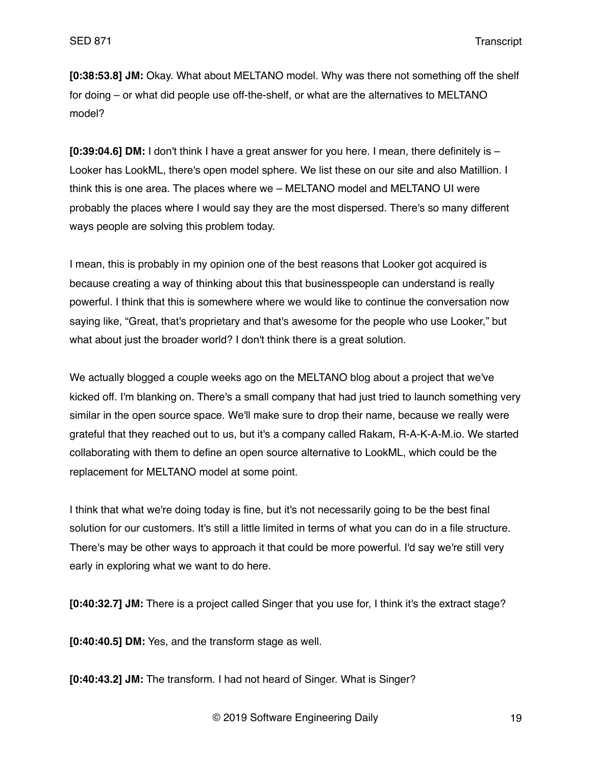**[0:38:53.8] JM:** Okay. What about MELTANO model. Why was there not something off the shelf for doing – or what did people use off-the-shelf, or what are the alternatives to MELTANO model?

**[0:39:04.6] DM:** I don't think I have a great answer for you here. I mean, there definitely is – Looker has LookML, there's open model sphere. We list these on our site and also Matillion. I think this is one area. The places where we – MELTANO model and MELTANO UI were probably the places where I would say they are the most dispersed. There's so many different ways people are solving this problem today.

I mean, this is probably in my opinion one of the best reasons that Looker got acquired is because creating a way of thinking about this that businesspeople can understand is really powerful. I think that this is somewhere where we would like to continue the conversation now saying like, "Great, that's proprietary and that's awesome for the people who use Looker," but what about just the broader world? I don't think there is a great solution.

We actually blogged a couple weeks ago on the MELTANO blog about a project that we've kicked off. I'm blanking on. There's a small company that had just tried to launch something very similar in the open source space. We'll make sure to drop their name, because we really were grateful that they reached out to us, but it's a company called Rakam, R-A-K-A-M.io. We started collaborating with them to define an open source alternative to LookML, which could be the replacement for MELTANO model at some point.

I think that what we're doing today is fine, but it's not necessarily going to be the best final solution for our customers. It's still a little limited in terms of what you can do in a file structure. There's may be other ways to approach it that could be more powerful. I'd say we're still very early in exploring what we want to do here.

**[0:40:32.7] JM:** There is a project called Singer that you use for, I think it's the extract stage?

**[0:40:40.5] DM:** Yes, and the transform stage as well.

**[0:40:43.2] JM:** The transform. I had not heard of Singer. What is Singer?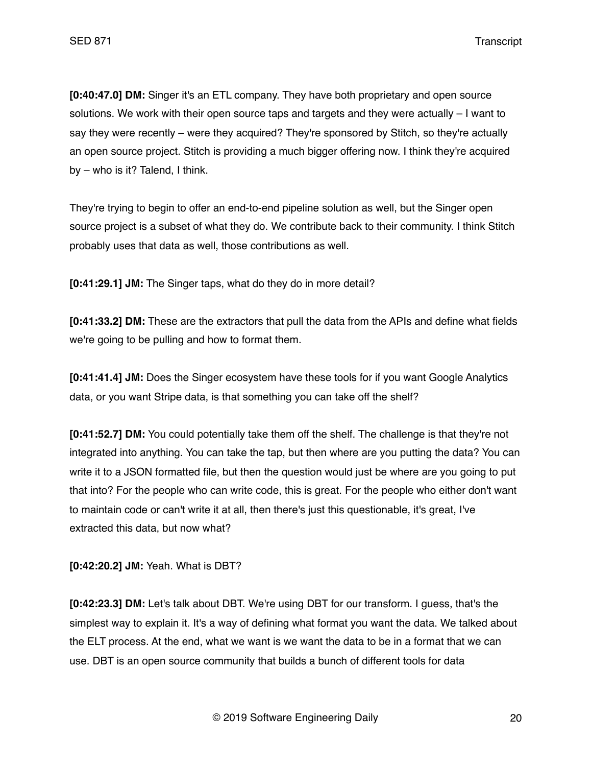**[0:40:47.0] DM:** Singer it's an ETL company. They have both proprietary and open source solutions. We work with their open source taps and targets and they were actually – I want to say they were recently – were they acquired? They're sponsored by Stitch, so they're actually an open source project. Stitch is providing a much bigger offering now. I think they're acquired by – who is it? Talend, I think.

They're trying to begin to offer an end-to-end pipeline solution as well, but the Singer open source project is a subset of what they do. We contribute back to their community. I think Stitch probably uses that data as well, those contributions as well.

**[0:41:29.1] JM:** The Singer taps, what do they do in more detail?

**[0:41:33.2] DM:** These are the extractors that pull the data from the APIs and define what fields we're going to be pulling and how to format them.

**[0:41:41.4] JM:** Does the Singer ecosystem have these tools for if you want Google Analytics data, or you want Stripe data, is that something you can take off the shelf?

**[0:41:52.7] DM:** You could potentially take them off the shelf. The challenge is that they're not integrated into anything. You can take the tap, but then where are you putting the data? You can write it to a JSON formatted file, but then the question would just be where are you going to put that into? For the people who can write code, this is great. For the people who either don't want to maintain code or can't write it at all, then there's just this questionable, it's great, I've extracted this data, but now what?

**[0:42:20.2] JM:** Yeah. What is DBT?

**[0:42:23.3] DM:** Let's talk about DBT. We're using DBT for our transform. I guess, that's the simplest way to explain it. It's a way of defining what format you want the data. We talked about the ELT process. At the end, what we want is we want the data to be in a format that we can use. DBT is an open source community that builds a bunch of different tools for data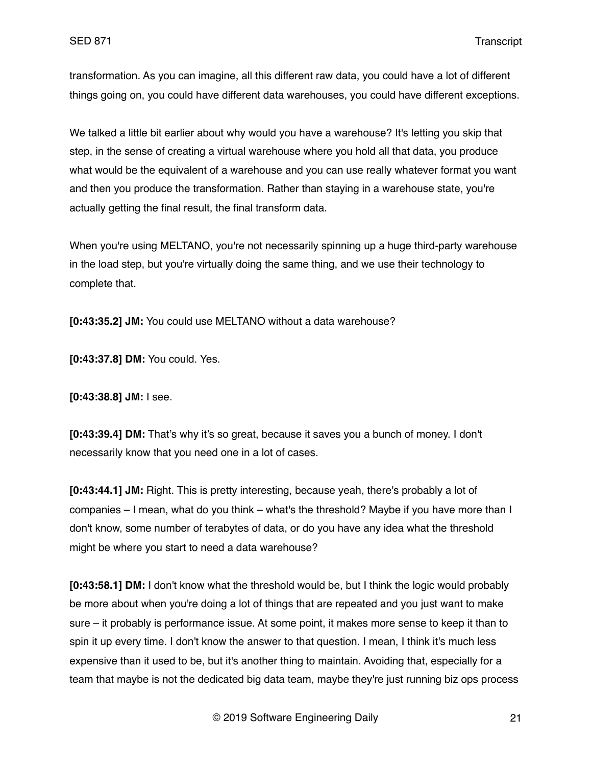transformation. As you can imagine, all this different raw data, you could have a lot of different things going on, you could have different data warehouses, you could have different exceptions.

We talked a little bit earlier about why would you have a warehouse? It's letting you skip that step, in the sense of creating a virtual warehouse where you hold all that data, you produce what would be the equivalent of a warehouse and you can use really whatever format you want and then you produce the transformation. Rather than staying in a warehouse state, you're actually getting the final result, the final transform data.

When you're using MELTANO, you're not necessarily spinning up a huge third-party warehouse in the load step, but you're virtually doing the same thing, and we use their technology to complete that.

**[0:43:35.2] JM:** You could use MELTANO without a data warehouse?

**[0:43:37.8] DM:** You could. Yes.

**[0:43:38.8] JM:** I see.

**[0:43:39.4] DM:** That's why it's so great, because it saves you a bunch of money. I don't necessarily know that you need one in a lot of cases.

**[0:43:44.1] JM:** Right. This is pretty interesting, because yeah, there's probably a lot of companies – I mean, what do you think – what's the threshold? Maybe if you have more than I don't know, some number of terabytes of data, or do you have any idea what the threshold might be where you start to need a data warehouse?

**[0:43:58.1] DM:** I don't know what the threshold would be, but I think the logic would probably be more about when you're doing a lot of things that are repeated and you just want to make sure – it probably is performance issue. At some point, it makes more sense to keep it than to spin it up every time. I don't know the answer to that question. I mean, I think it's much less expensive than it used to be, but it's another thing to maintain. Avoiding that, especially for a team that maybe is not the dedicated big data team, maybe they're just running biz ops process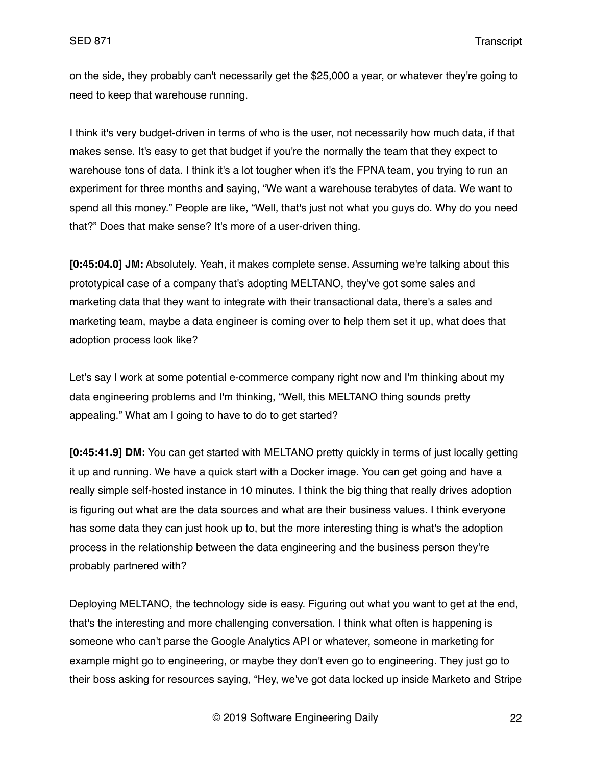on the side, they probably can't necessarily get the \$25,000 a year, or whatever they're going to need to keep that warehouse running.

I think it's very budget-driven in terms of who is the user, not necessarily how much data, if that makes sense. It's easy to get that budget if you're the normally the team that they expect to warehouse tons of data. I think it's a lot tougher when it's the FPNA team, you trying to run an experiment for three months and saying, "We want a warehouse terabytes of data. We want to spend all this money." People are like, "Well, that's just not what you guys do. Why do you need that?" Does that make sense? It's more of a user-driven thing.

**[0:45:04.0] JM:** Absolutely. Yeah, it makes complete sense. Assuming we're talking about this prototypical case of a company that's adopting MELTANO, they've got some sales and marketing data that they want to integrate with their transactional data, there's a sales and marketing team, maybe a data engineer is coming over to help them set it up, what does that adoption process look like?

Let's say I work at some potential e-commerce company right now and I'm thinking about my data engineering problems and I'm thinking, "Well, this MELTANO thing sounds pretty appealing." What am I going to have to do to get started?

**[0:45:41.9] DM:** You can get started with MELTANO pretty quickly in terms of just locally getting it up and running. We have a quick start with a Docker image. You can get going and have a really simple self-hosted instance in 10 minutes. I think the big thing that really drives adoption is figuring out what are the data sources and what are their business values. I think everyone has some data they can just hook up to, but the more interesting thing is what's the adoption process in the relationship between the data engineering and the business person they're probably partnered with?

Deploying MELTANO, the technology side is easy. Figuring out what you want to get at the end, that's the interesting and more challenging conversation. I think what often is happening is someone who can't parse the Google Analytics API or whatever, someone in marketing for example might go to engineering, or maybe they don't even go to engineering. They just go to their boss asking for resources saying, "Hey, we've got data locked up inside Marketo and Stripe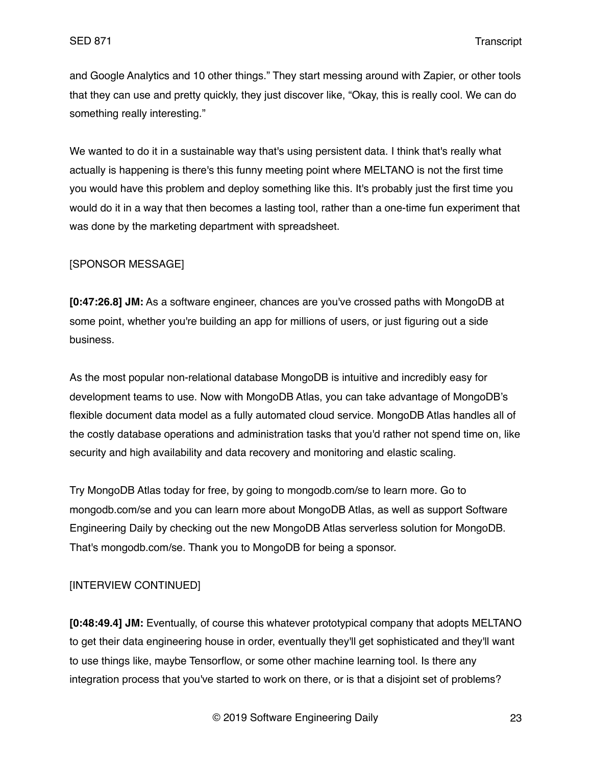and Google Analytics and 10 other things." They start messing around with Zapier, or other tools that they can use and pretty quickly, they just discover like, "Okay, this is really cool. We can do something really interesting."

We wanted to do it in a sustainable way that's using persistent data. I think that's really what actually is happening is there's this funny meeting point where MELTANO is not the first time you would have this problem and deploy something like this. It's probably just the first time you would do it in a way that then becomes a lasting tool, rather than a one-time fun experiment that was done by the marketing department with spreadsheet.

## [SPONSOR MESSAGE]

**[0:47:26.8] JM:** As a software engineer, chances are you've crossed paths with MongoDB at some point, whether you're building an app for millions of users, or just figuring out a side business.

As the most popular non-relational database MongoDB is intuitive and incredibly easy for development teams to use. Now with MongoDB Atlas, you can take advantage of MongoDB's flexible document data model as a fully automated cloud service. MongoDB Atlas handles all of the costly database operations and administration tasks that you'd rather not spend time on, like security and high availability and data recovery and monitoring and elastic scaling.

Try MongoDB Atlas today for free, by going to mongodb.com/se to learn more. Go to mongodb.com/se and you can learn more about MongoDB Atlas, as well as support Software Engineering Daily by checking out the new MongoDB Atlas serverless solution for MongoDB. That's mongodb.com/se. Thank you to MongoDB for being a sponsor.

# [INTERVIEW CONTINUED]

**[0:48:49.4] JM:** Eventually, of course this whatever prototypical company that adopts MELTANO to get their data engineering house in order, eventually they'll get sophisticated and they'll want to use things like, maybe Tensorflow, or some other machine learning tool. Is there any integration process that you've started to work on there, or is that a disjoint set of problems?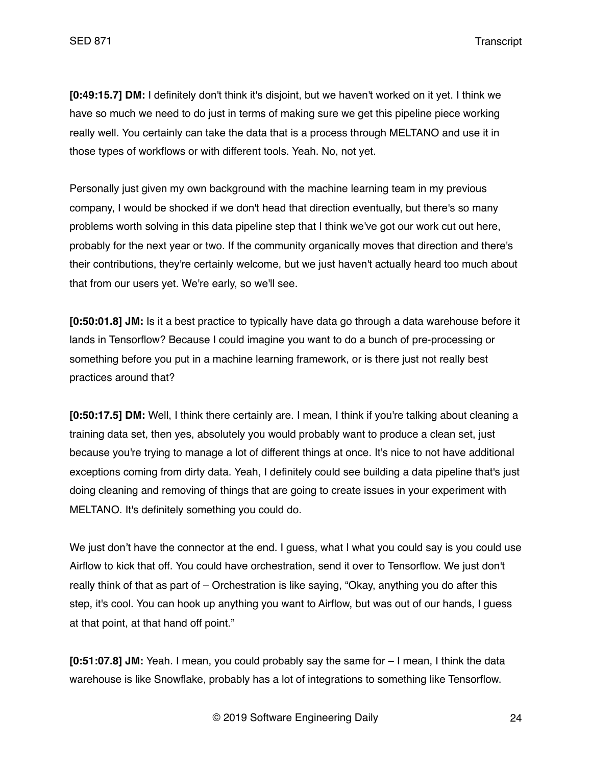**[0:49:15.7] DM:** I definitely don't think it's disjoint, but we haven't worked on it yet. I think we have so much we need to do just in terms of making sure we get this pipeline piece working really well. You certainly can take the data that is a process through MELTANO and use it in those types of workflows or with different tools. Yeah. No, not yet.

Personally just given my own background with the machine learning team in my previous company, I would be shocked if we don't head that direction eventually, but there's so many problems worth solving in this data pipeline step that I think we've got our work cut out here, probably for the next year or two. If the community organically moves that direction and there's their contributions, they're certainly welcome, but we just haven't actually heard too much about that from our users yet. We're early, so we'll see.

**[0:50:01.8] JM:** Is it a best practice to typically have data go through a data warehouse before it lands in Tensorflow? Because I could imagine you want to do a bunch of pre-processing or something before you put in a machine learning framework, or is there just not really best practices around that?

**[0:50:17.5] DM:** Well, I think there certainly are. I mean, I think if you're talking about cleaning a training data set, then yes, absolutely you would probably want to produce a clean set, just because you're trying to manage a lot of different things at once. It's nice to not have additional exceptions coming from dirty data. Yeah, I definitely could see building a data pipeline that's just doing cleaning and removing of things that are going to create issues in your experiment with MELTANO. It's definitely something you could do.

We just don't have the connector at the end. I guess, what I what you could say is you could use Airflow to kick that off. You could have orchestration, send it over to Tensorflow. We just don't really think of that as part of – Orchestration is like saying, "Okay, anything you do after this step, it's cool. You can hook up anything you want to Airflow, but was out of our hands, I guess at that point, at that hand off point."

**[0:51:07.8] JM:** Yeah. I mean, you could probably say the same for – I mean, I think the data warehouse is like Snowflake, probably has a lot of integrations to something like Tensorflow.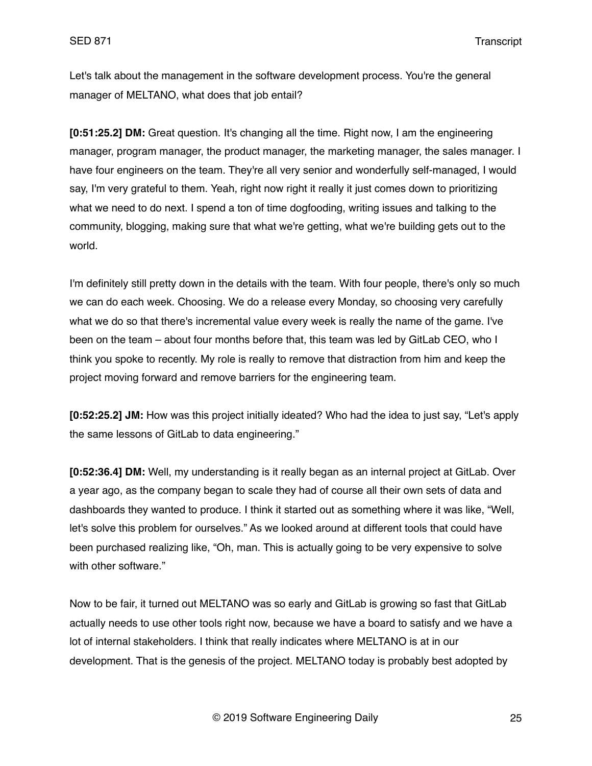Let's talk about the management in the software development process. You're the general manager of MELTANO, what does that job entail?

**[0:51:25.2] DM:** Great question. It's changing all the time. Right now, I am the engineering manager, program manager, the product manager, the marketing manager, the sales manager. I have four engineers on the team. They're all very senior and wonderfully self-managed, I would say, I'm very grateful to them. Yeah, right now right it really it just comes down to prioritizing what we need to do next. I spend a ton of time dogfooding, writing issues and talking to the community, blogging, making sure that what we're getting, what we're building gets out to the world.

I'm definitely still pretty down in the details with the team. With four people, there's only so much we can do each week. Choosing. We do a release every Monday, so choosing very carefully what we do so that there's incremental value every week is really the name of the game. I've been on the team – about four months before that, this team was led by GitLab CEO, who I think you spoke to recently. My role is really to remove that distraction from him and keep the project moving forward and remove barriers for the engineering team.

**[0:52:25.2] JM:** How was this project initially ideated? Who had the idea to just say, "Let's apply the same lessons of GitLab to data engineering."

**[0:52:36.4] DM:** Well, my understanding is it really began as an internal project at GitLab. Over a year ago, as the company began to scale they had of course all their own sets of data and dashboards they wanted to produce. I think it started out as something where it was like, "Well, let's solve this problem for ourselves." As we looked around at different tools that could have been purchased realizing like, "Oh, man. This is actually going to be very expensive to solve with other software."

Now to be fair, it turned out MELTANO was so early and GitLab is growing so fast that GitLab actually needs to use other tools right now, because we have a board to satisfy and we have a lot of internal stakeholders. I think that really indicates where MELTANO is at in our development. That is the genesis of the project. MELTANO today is probably best adopted by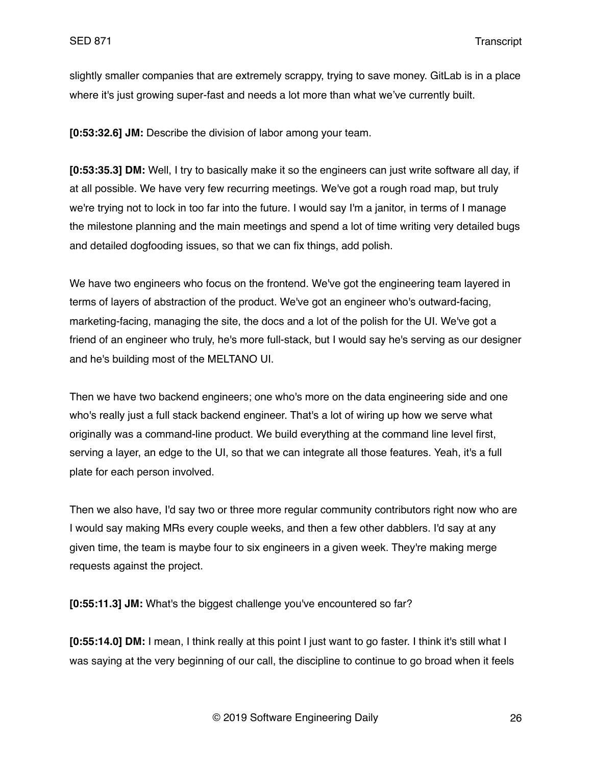slightly smaller companies that are extremely scrappy, trying to save money. GitLab is in a place where it's just growing super-fast and needs a lot more than what we've currently built.

**[0:53:32.6] JM:** Describe the division of labor among your team.

**[0:53:35.3] DM:** Well, I try to basically make it so the engineers can just write software all day, if at all possible. We have very few recurring meetings. We've got a rough road map, but truly we're trying not to lock in too far into the future. I would say I'm a janitor, in terms of I manage the milestone planning and the main meetings and spend a lot of time writing very detailed bugs and detailed dogfooding issues, so that we can fix things, add polish.

We have two engineers who focus on the frontend. We've got the engineering team layered in terms of layers of abstraction of the product. We've got an engineer who's outward-facing, marketing-facing, managing the site, the docs and a lot of the polish for the UI. We've got a friend of an engineer who truly, he's more full-stack, but I would say he's serving as our designer and he's building most of the MELTANO UI.

Then we have two backend engineers; one who's more on the data engineering side and one who's really just a full stack backend engineer. That's a lot of wiring up how we serve what originally was a command-line product. We build everything at the command line level first, serving a layer, an edge to the UI, so that we can integrate all those features. Yeah, it's a full plate for each person involved.

Then we also have, I'd say two or three more regular community contributors right now who are I would say making MRs every couple weeks, and then a few other dabblers. I'd say at any given time, the team is maybe four to six engineers in a given week. They're making merge requests against the project.

**[0:55:11.3] JM:** What's the biggest challenge you've encountered so far?

**[0:55:14.0] DM:** I mean, I think really at this point I just want to go faster. I think it's still what I was saying at the very beginning of our call, the discipline to continue to go broad when it feels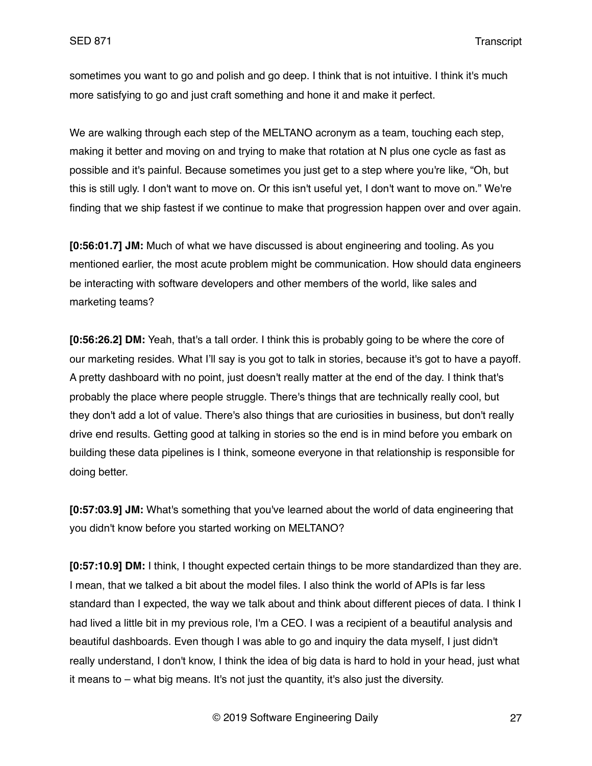sometimes you want to go and polish and go deep. I think that is not intuitive. I think it's much more satisfying to go and just craft something and hone it and make it perfect.

We are walking through each step of the MELTANO acronym as a team, touching each step, making it better and moving on and trying to make that rotation at N plus one cycle as fast as possible and it's painful. Because sometimes you just get to a step where you're like, "Oh, but this is still ugly. I don't want to move on. Or this isn't useful yet, I don't want to move on." We're finding that we ship fastest if we continue to make that progression happen over and over again.

**[0:56:01.7] JM:** Much of what we have discussed is about engineering and tooling. As you mentioned earlier, the most acute problem might be communication. How should data engineers be interacting with software developers and other members of the world, like sales and marketing teams?

**[0:56:26.2] DM:** Yeah, that's a tall order. I think this is probably going to be where the core of our marketing resides. What I'll say is you got to talk in stories, because it's got to have a payoff. A pretty dashboard with no point, just doesn't really matter at the end of the day. I think that's probably the place where people struggle. There's things that are technically really cool, but they don't add a lot of value. There's also things that are curiosities in business, but don't really drive end results. Getting good at talking in stories so the end is in mind before you embark on building these data pipelines is I think, someone everyone in that relationship is responsible for doing better.

**[0:57:03.9] JM:** What's something that you've learned about the world of data engineering that you didn't know before you started working on MELTANO?

**[0:57:10.9] DM:** I think, I thought expected certain things to be more standardized than they are. I mean, that we talked a bit about the model files. I also think the world of APIs is far less standard than I expected, the way we talk about and think about different pieces of data. I think I had lived a little bit in my previous role, I'm a CEO. I was a recipient of a beautiful analysis and beautiful dashboards. Even though I was able to go and inquiry the data myself, I just didn't really understand, I don't know, I think the idea of big data is hard to hold in your head, just what it means to – what big means. It's not just the quantity, it's also just the diversity.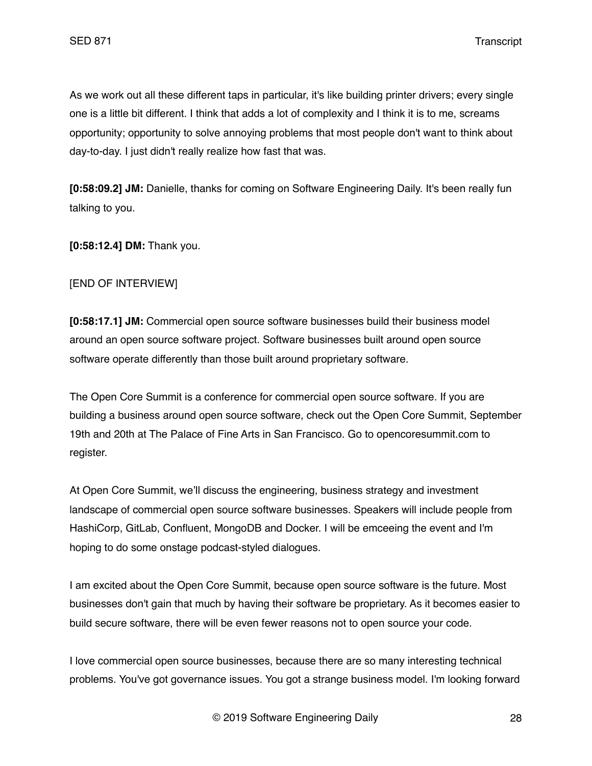As we work out all these different taps in particular, it's like building printer drivers; every single one is a little bit different. I think that adds a lot of complexity and I think it is to me, screams opportunity; opportunity to solve annoying problems that most people don't want to think about day-to-day. I just didn't really realize how fast that was.

**[0:58:09.2] JM:** Danielle, thanks for coming on Software Engineering Daily. It's been really fun talking to you.

**[0:58:12.4] DM:** Thank you.

### [END OF INTERVIEW]

**[0:58:17.1] JM:** Commercial open source software businesses build their business model around an open source software project. Software businesses built around open source software operate differently than those built around proprietary software.

The Open Core Summit is a conference for commercial open source software. If you are building a business around open source software, check out the Open Core Summit, September 19th and 20th at The Palace of Fine Arts in San Francisco. Go to opencoresummit.com to register.

At Open Core Summit, we'll discuss the engineering, business strategy and investment landscape of commercial open source software businesses. Speakers will include people from HashiCorp, GitLab, Confluent, MongoDB and Docker. I will be emceeing the event and I'm hoping to do some onstage podcast-styled dialogues.

I am excited about the Open Core Summit, because open source software is the future. Most businesses don't gain that much by having their software be proprietary. As it becomes easier to build secure software, there will be even fewer reasons not to open source your code.

I love commercial open source businesses, because there are so many interesting technical problems. You've got governance issues. You got a strange business model. I'm looking forward